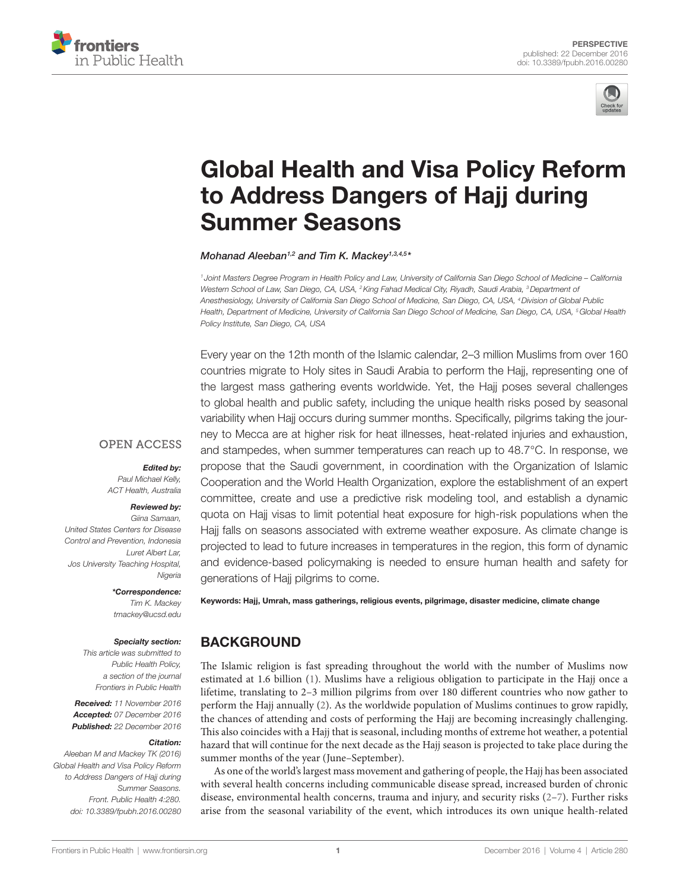



# [Global Health and Visa Policy Reform](http://www.frontiersin.org/Journal/10.3389/fpubh.2016.00280/abstract)  [to Address Dangers of Hajj during](http://www.frontiersin.org/Journal/10.3389/fpubh.2016.00280/abstract)  [Summer Seasons](http://www.frontiersin.org/Journal/10.3389/fpubh.2016.00280/abstract)

*[Mohanad Aleeban](http://loop.frontiersin.org/people/395888)1,2 and [Tim K. Mackey](http://loop.frontiersin.org/people/213722)1,3,4,5 \**

*<sup>1</sup> Joint Masters Degree Program in Health Policy and Law, University of California San Diego School of Medicine – California Western School of Law, San Diego, CA, USA, 2King Fahad Medical City, Riyadh, Saudi Arabia, 3Department of Anesthesiology, University of California San Diego School of Medicine, San Diego, CA, USA, 4Division of Global Public Health, Department of Medicine, University of California San Diego School of Medicine, San Diego, CA, USA, 5Global Health Policy Institute, San Diego, CA, USA*

Every year on the 12th month of the Islamic calendar, 2–3 million Muslims from over 160 countries migrate to Holy sites in Saudi Arabia to perform the Hajj, representing one of the largest mass gathering events worldwide. Yet, the Hajj poses several challenges to global health and public safety, including the unique health risks posed by seasonal variability when Hajj occurs during summer months. Specifically, pilgrims taking the journey to Mecca are at higher risk for heat illnesses, heat-related injuries and exhaustion, and stampedes, when summer temperatures can reach up to 48.7°C. In response, we propose that the Saudi government, in coordination with the Organization of Islamic Cooperation and the World Health Organization, explore the establishment of an expert committee, create and use a predictive risk modeling tool, and establish a dynamic quota on Hajj visas to limit potential heat exposure for high-risk populations when the Hajj falls on seasons associated with extreme weather exposure. As climate change is projected to lead to future increases in temperatures in the region, this form of dynamic and evidence-based policymaking is needed to ensure human health and safety for generations of Hajj pilgrims to come.

**OPEN ACCESS** 

#### *Edited by:*

*Paul Michael Kelly, ACT Health, Australia*

#### *Reviewed by:*

*Giina Samaan, United States Centers for Disease Control and Prevention, Indonesia Luret Albert Lar, Jos University Teaching Hospital, Nigeria*

#### *\*Correspondence:*

*Tim K. Mackey [tmackey@ucsd.edu](mailto:tmackey@ucsd.edu)*

#### *Specialty section:*

*This article was submitted to Public Health Policy, a section of the journal Frontiers in Public Health*

*Received: 11 November 2016 Accepted: 07 December 2016 Published: 22 December 2016*

#### *Citation:*

*Aleeban M and Mackey TK (2016) Global Health and Visa Policy Reform to Address Dangers of Hajj during Summer Seasons. Front. Public Health 4:280. doi: [10.3389/fpubh.2016.00280](https://doi.org/10.3389/fpubh.2016.00280)* Keywords: Hajj, Umrah, mass gatherings, religious events, pilgrimage, disaster medicine, climate change

### BACKGROUND

The Islamic religion is fast spreading throughout the world with the number of Muslims now estimated at 1.6 billion [\(1\)](#page-3-0). Muslims have a religious obligation to participate in the Hajj once a lifetime, translating to 2–3 million pilgrims from over 180 different countries who now gather to perform the Hajj annually ([2](#page-3-1)). As the worldwide population of Muslims continues to grow rapidly, the chances of attending and costs of performing the Hajj are becoming increasingly challenging. This also coincides with a Hajj that is seasonal, including months of extreme hot weather, a potential hazard that will continue for the next decade as the Hajj season is projected to take place during the summer months of the year (June–September).

As one of the world's largest mass movement and gathering of people, the Hajj has been associated with several health concerns including communicable disease spread, increased burden of chronic disease, environmental health concerns, trauma and injury, and security risks  $(2-7)$  $(2-7)$  $(2-7)$ . Further risks arise from the seasonal variability of the event, which introduces its own unique health-related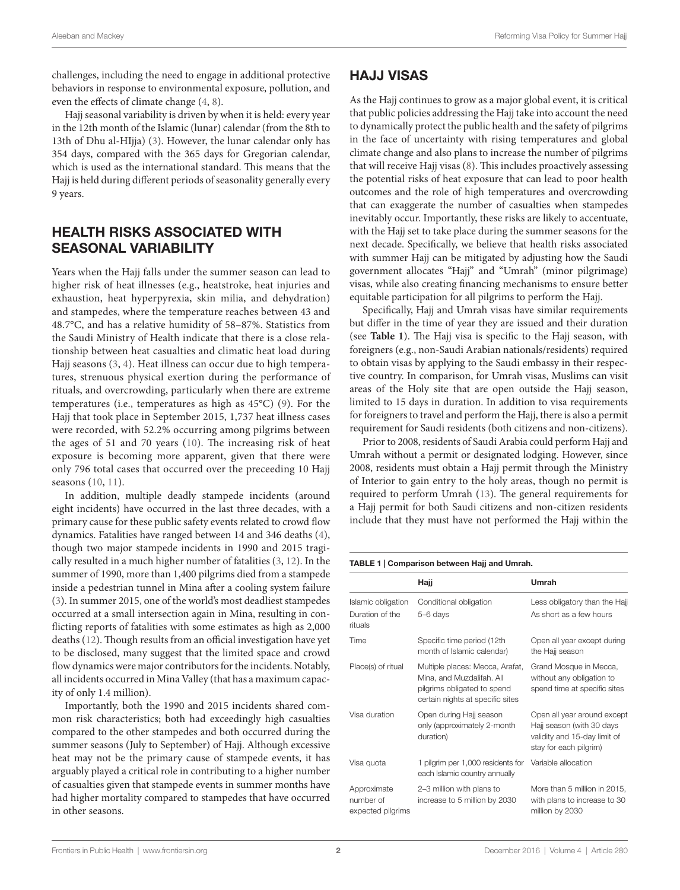challenges, including the need to engage in additional protective behaviors in response to environmental exposure, pollution, and even the effects of climate change ([4](#page-3-3), [8](#page-3-4)).

Hajj seasonal variability is driven by when it is held: every year in the 12th month of the Islamic (lunar) calendar (from the 8th to 13th of Dhu al-HIjja) [\(3\)](#page-3-5). However, the lunar calendar only has 354 days, compared with the 365 days for Gregorian calendar, which is used as the international standard. This means that the Hajj is held during different periods of seasonality generally every 9 years.

## HEALTH RISKS ASSOCIATED WITH SEASONAL VARIABILITY

Years when the Hajj falls under the summer season can lead to higher risk of heat illnesses (e.g., heatstroke, heat injuries and exhaustion, heat hyperpyrexia, skin milia, and dehydration) and stampedes, where the temperature reaches between 43 and 48.7°C, and has a relative humidity of 58–87%. Statistics from the Saudi Ministry of Health indicate that there is a close relationship between heat casualties and climatic heat load during Hajj seasons ([3](#page-3-5), [4](#page-3-3)). Heat illness can occur due to high temperatures, strenuous physical exertion during the performance of rituals, and overcrowding, particularly when there are extreme temperatures (i.e., temperatures as high as 45°C) ([9](#page-3-6)). For the Hajj that took place in September 2015, 1,737 heat illness cases were recorded, with 52.2% occurring among pilgrims between the ages of 51 and 70 years [\(10\)](#page-3-7). The increasing risk of heat exposure is becoming more apparent, given that there were only 796 total cases that occurred over the preceeding 10 Hajj seasons [\(10,](#page-3-7) [11](#page-3-8)).

In addition, multiple deadly stampede incidents (around eight incidents) have occurred in the last three decades, with a primary cause for these public safety events related to crowd flow dynamics. Fatalities have ranged between 14 and 346 deaths [\(4\)](#page-3-3), though two major stampede incidents in 1990 and 2015 tragically resulted in a much higher number of fatalities ([3](#page-3-5), [12](#page-3-9)). In the summer of 1990, more than 1,400 pilgrims died from a stampede inside a pedestrian tunnel in Mina after a cooling system failure ([3](#page-3-5)). In summer 2015, one of the world's most deadliest stampedes occurred at a small intersection again in Mina, resulting in conflicting reports of fatalities with some estimates as high as 2,000 deaths ([12](#page-3-9)). Though results from an official investigation have yet to be disclosed, many suggest that the limited space and crowd flow dynamics were major contributors for the incidents. Notably, all incidents occurred in Mina Valley (that has a maximum capacity of only 1.4 million).

Importantly, both the 1990 and 2015 incidents shared common risk characteristics; both had exceedingly high casualties compared to the other stampedes and both occurred during the summer seasons (July to September) of Hajj. Although excessive heat may not be the primary cause of stampede events, it has arguably played a critical role in contributing to a higher number of casualties given that stampede events in summer months have had higher mortality compared to stampedes that have occurred in other seasons.

# HAJJ VISAS

As the Hajj continues to grow as a major global event, it is critical that public policies addressing the Hajj take into account the need to dynamically protect the public health and the safety of pilgrims in the face of uncertainty with rising temperatures and global climate change and also plans to increase the number of pilgrims that will receive Hajj visas [\(8\)](#page-3-4). This includes proactively assessing the potential risks of heat exposure that can lead to poor health outcomes and the role of high temperatures and overcrowding that can exaggerate the number of casualties when stampedes inevitably occur. Importantly, these risks are likely to accentuate, with the Hajj set to take place during the summer seasons for the next decade. Specifically, we believe that health risks associated with summer Hajj can be mitigated by adjusting how the Saudi government allocates "Hajj" and "Umrah" (minor pilgrimage) visas, while also creating financing mechanisms to ensure better equitable participation for all pilgrims to perform the Hajj.

Specifically, Hajj and Umrah visas have similar requirements but differ in the time of year they are issued and their duration (see **[Table 1](#page-1-0)**). The Hajj visa is specific to the Hajj season, with foreigners (e.g., non-Saudi Arabian nationals/residents) required to obtain visas by applying to the Saudi embassy in their respective country. In comparison, for Umrah visas, Muslims can visit areas of the Holy site that are open outside the Hajj season, limited to 15 days in duration. In addition to visa requirements for foreigners to travel and perform the Hajj, there is also a permit requirement for Saudi residents (both citizens and non-citizens).

Prior to 2008, residents of Saudi Arabia could perform Hajj and Umrah without a permit or designated lodging. However, since 2008, residents must obtain a Hajj permit through the Ministry of Interior to gain entry to the holy areas, though no permit is required to perform Umrah [\(13](#page-3-10)). The general requirements for a Hajj permit for both Saudi citizens and non-citizen residents include that they must have not performed the Hajj within the

#### <span id="page-1-0"></span>Table 1 | Comparison between Hajj and Umrah.

|                                                  | Hajj                                                                                                                            | Umrah                                                                                                              |
|--------------------------------------------------|---------------------------------------------------------------------------------------------------------------------------------|--------------------------------------------------------------------------------------------------------------------|
| Islamic obligation<br>Duration of the<br>rituals | Conditional obligation<br>5-6 days                                                                                              | Less obligatory than the Hajj<br>As short as a few hours                                                           |
| Time                                             | Specific time period (12th<br>month of Islamic calendar)                                                                        | Open all year except during<br>the Hajj season                                                                     |
| Place(s) of ritual                               | Multiple places: Mecca, Arafat,<br>Mina, and Muzdalifah. All<br>pilgrims obligated to spend<br>certain nights at specific sites | Grand Mosque in Mecca,<br>without any obligation to<br>spend time at specific sites                                |
| Visa duration                                    | Open during Hajj season<br>only (approximately 2-month<br>duration)                                                             | Open all year around except<br>Hajj season (with 30 days<br>validity and 15-day limit of<br>stay for each pilgrim) |
| Visa quota                                       | 1 pilgrim per 1,000 residents for<br>each Islamic country annually                                                              | Variable allocation                                                                                                |
| Approximate<br>number of<br>expected pilgrims    | 2-3 million with plans to<br>increase to 5 million by 2030                                                                      | More than 5 million in 2015,<br>with plans to increase to 30<br>million by 2030                                    |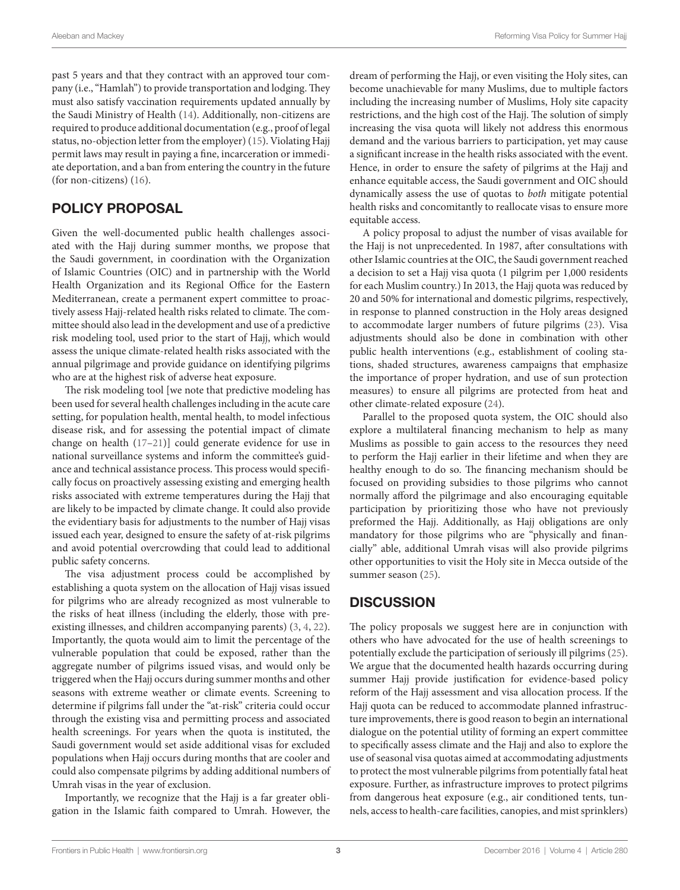past 5 years and that they contract with an approved tour company (i.e., "Hamlah") to provide transportation and lodging. They must also satisfy vaccination requirements updated annually by the Saudi Ministry of Health ([14](#page-3-11)). Additionally, non-citizens are required to produce additional documentation (e.g., proof of legal status, no-objection letter from the employer) [\(15\)](#page-3-12). Violating Hajj permit laws may result in paying a fine, incarceration or immediate deportation, and a ban from entering the country in the future (for non-citizens) ([16\)](#page-3-13).

## POLICY PROPOSAL

Given the well-documented public health challenges associated with the Hajj during summer months, we propose that the Saudi government, in coordination with the Organization of Islamic Countries (OIC) and in partnership with the World Health Organization and its Regional Office for the Eastern Mediterranean, create a permanent expert committee to proactively assess Hajj-related health risks related to climate. The committee should also lead in the development and use of a predictive risk modeling tool, used prior to the start of Hajj, which would assess the unique climate-related health risks associated with the annual pilgrimage and provide guidance on identifying pilgrims who are at the highest risk of adverse heat exposure.

The risk modeling tool [we note that predictive modeling has been used for several health challenges including in the acute care setting, for population health, mental health, to model infectious disease risk, and for assessing the potential impact of climate change on health ([17–](#page-3-14)[21\)](#page-3-15)] could generate evidence for use in national surveillance systems and inform the committee's guidance and technical assistance process. This process would specifically focus on proactively assessing existing and emerging health risks associated with extreme temperatures during the Hajj that are likely to be impacted by climate change. It could also provide the evidentiary basis for adjustments to the number of Hajj visas issued each year, designed to ensure the safety of at-risk pilgrims and avoid potential overcrowding that could lead to additional public safety concerns.

The visa adjustment process could be accomplished by establishing a quota system on the allocation of Hajj visas issued for pilgrims who are already recognized as most vulnerable to the risks of heat illness (including the elderly, those with preexisting illnesses, and children accompanying parents) ([3](#page-3-5), [4](#page-3-3), [22\)](#page-3-16). Importantly, the quota would aim to limit the percentage of the vulnerable population that could be exposed, rather than the aggregate number of pilgrims issued visas, and would only be triggered when the Hajj occurs during summer months and other seasons with extreme weather or climate events. Screening to determine if pilgrims fall under the "at-risk" criteria could occur through the existing visa and permitting process and associated health screenings. For years when the quota is instituted, the Saudi government would set aside additional visas for excluded populations when Hajj occurs during months that are cooler and could also compensate pilgrims by adding additional numbers of Umrah visas in the year of exclusion.

Importantly, we recognize that the Hajj is a far greater obligation in the Islamic faith compared to Umrah. However, the dream of performing the Hajj, or even visiting the Holy sites, can become unachievable for many Muslims, due to multiple factors including the increasing number of Muslims, Holy site capacity restrictions, and the high cost of the Hajj. The solution of simply increasing the visa quota will likely not address this enormous demand and the various barriers to participation, yet may cause a significant increase in the health risks associated with the event. Hence, in order to ensure the safety of pilgrims at the Hajj and enhance equitable access, the Saudi government and OIC should dynamically assess the use of quotas to *both* mitigate potential health risks and concomitantly to reallocate visas to ensure more equitable access.

A policy proposal to adjust the number of visas available for the Hajj is not unprecedented. In 1987, after consultations with other Islamic countries at the OIC, the Saudi government reached a decision to set a Hajj visa quota (1 pilgrim per 1,000 residents for each Muslim country.) In 2013, the Hajj quota was reduced by 20 and 50% for international and domestic pilgrims, respectively, in response to planned construction in the Holy areas designed to accommodate larger numbers of future pilgrims [\(23](#page-3-17)). Visa adjustments should also be done in combination with other public health interventions (e.g., establishment of cooling stations, shaded structures, awareness campaigns that emphasize the importance of proper hydration, and use of sun protection measures) to ensure all pilgrims are protected from heat and other climate-related exposure [\(24](#page-3-18)).

Parallel to the proposed quota system, the OIC should also explore a multilateral financing mechanism to help as many Muslims as possible to gain access to the resources they need to perform the Hajj earlier in their lifetime and when they are healthy enough to do so. The financing mechanism should be focused on providing subsidies to those pilgrims who cannot normally afford the pilgrimage and also encouraging equitable participation by prioritizing those who have not previously preformed the Hajj. Additionally, as Hajj obligations are only mandatory for those pilgrims who are "physically and financially" able, additional Umrah visas will also provide pilgrims other opportunities to visit the Holy site in Mecca outside of the summer season [\(25](#page-3-19)).

### **DISCUSSION**

The policy proposals we suggest here are in conjunction with others who have advocated for the use of health screenings to potentially exclude the participation of seriously ill pilgrims [\(25](#page-3-19)). We argue that the documented health hazards occurring during summer Hajj provide justification for evidence-based policy reform of the Hajj assessment and visa allocation process. If the Hajj quota can be reduced to accommodate planned infrastructure improvements, there is good reason to begin an international dialogue on the potential utility of forming an expert committee to specifically assess climate and the Hajj and also to explore the use of seasonal visa quotas aimed at accommodating adjustments to protect the most vulnerable pilgrims from potentially fatal heat exposure. Further, as infrastructure improves to protect pilgrims from dangerous heat exposure (e.g., air conditioned tents, tunnels, access to health-care facilities, canopies, and mist sprinklers)